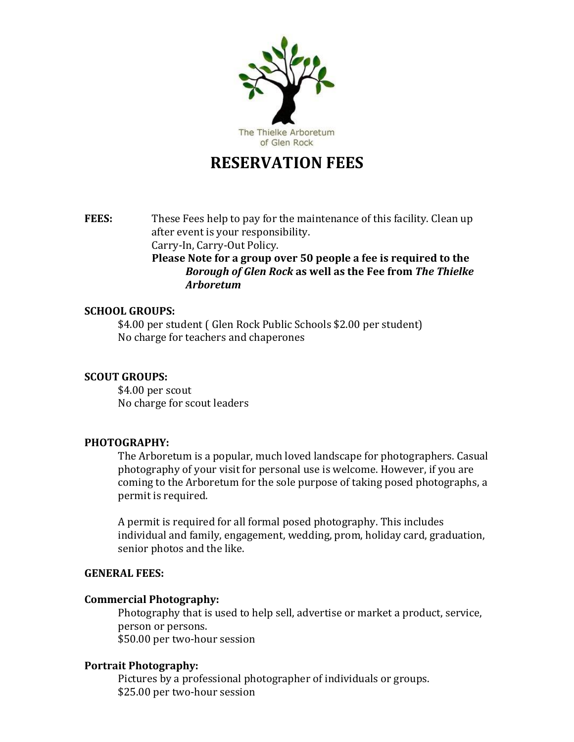

# **RESERVATION FEES**

**FEES:** These Fees help to pay for the maintenance of this facility. Clean up after event is your responsibility. Carry-In, Carry-Out Policy. **Please Note for a group over 50 people a fee is required to the**  *Borough of Glen Rock* **as well as the Fee from** *The Thielke Arboretum*

# **SCHOOL GROUPS:**

\$4.00 per student ( Glen Rock Public Schools \$2.00 per student) No charge for teachers and chaperones

## **SCOUT GROUPS:**

\$4.00 per scout No charge for scout leaders

# **PHOTOGRAPHY:**

The Arboretum is a popular, much loved landscape for photographers. Casual photography of your visit for personal use is welcome. However, if you are coming to the Arboretum for the sole purpose of taking posed photographs, a permit is required.

A permit is required for all formal posed photography. This includes individual and family, engagement, wedding, prom, holiday card, graduation, senior photos and the like.

#### **GENERAL FEES:**

#### **Commercial Photography:**

Photography that is used to help sell, advertise or market a product, service, person or persons. \$50.00 per two-hour session

#### **Portrait Photography:**

Pictures by a professional photographer of individuals or groups. \$25.00 per two-hour session